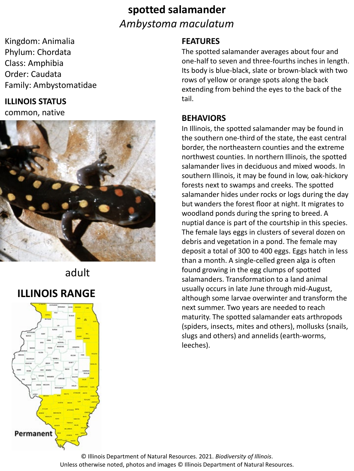# **spotted salamander** *Ambystoma maculatum*

Kingdom: Animalia Phylum: Chordata Class: Amphibia Order: Caudata Family: Ambystomatidae

### **ILLINOIS STATUS**

common, native



### adult

# **ILLINOIS RANGE**



#### **FEATURES**

The spotted salamander averages about four and one-half to seven and three-fourths inches in length. Its body is blue-black, slate or brown-black with two rows of yellow or orange spots along the back extending from behind the eyes to the back of the tail.

#### **BEHAVIORS**

In Illinois, the spotted salamander may be found in the southern one-third of the state, the east central border, the northeastern counties and the extreme northwest counties. In northern Illinois, the spotted salamander lives in deciduous and mixed woods. In southern Illinois, it may be found in low, oak-hickory forests next to swamps and creeks. The spotted salamander hides under rocks or logs during the day but wanders the forest floor at night. It migrates to woodland ponds during the spring to breed. A nuptial dance is part of the courtship in this species. The female lays eggs in clusters of several dozen on debris and vegetation in a pond. The female may deposit a total of 300 to 400 eggs. Eggs hatch in less than a month. A single-celled green alga is often found growing in the egg clumps of spotted salamanders. Transformation to a land animal usually occurs in late June through mid-August, although some larvae overwinter and transform the next summer. Two years are needed to reach maturity. The spotted salamander eats arthropods (spiders, insects, mites and others), mollusks (snails, slugs and others) and annelids (earth-worms, leeches).

© Illinois Department of Natural Resources. 2021. *Biodiversity of Illinois*. Unless otherwise noted, photos and images © Illinois Department of Natural Resources.